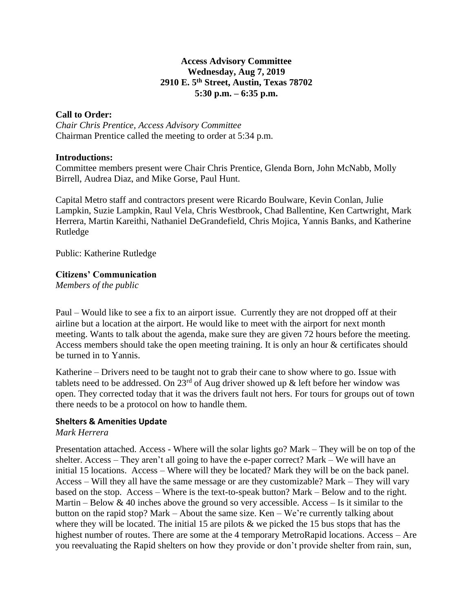## **Access Advisory Committee Wednesday, Aug 7, 2019 2910 E. 5th Street, Austin, Texas 78702 5:30 p.m. – 6:35 p.m.**

### **Call to Order:**

*Chair Chris Prentice, Access Advisory Committee* Chairman Prentice called the meeting to order at 5:34 p.m.

#### **Introductions:**

Committee members present were Chair Chris Prentice, Glenda Born, John McNabb, Molly Birrell, Audrea Diaz, and Mike Gorse, Paul Hunt.

Capital Metro staff and contractors present were Ricardo Boulware, Kevin Conlan, Julie Lampkin, Suzie Lampkin, Raul Vela, Chris Westbrook, Chad Ballentine, Ken Cartwright, Mark Herrera, Martin Kareithi, Nathaniel DeGrandefield, Chris Mojica, Yannis Banks, and Katherine Rutledge

Public: Katherine Rutledge

## **Citizens' Communication**

*Members of the public*

Paul – Would like to see a fix to an airport issue. Currently they are not dropped off at their airline but a location at the airport. He would like to meet with the airport for next month meeting. Wants to talk about the agenda, make sure they are given 72 hours before the meeting. Access members should take the open meeting training. It is only an hour & certificates should be turned in to Yannis.

Katherine – Drivers need to be taught not to grab their cane to show where to go. Issue with tablets need to be addressed. On  $23^{rd}$  of Aug driver showed up & left before her window was open. They corrected today that it was the drivers fault not hers. For tours for groups out of town there needs to be a protocol on how to handle them.

#### **Shelters & Amenities Update**

#### *Mark Herrera*

Presentation attached. Access - Where will the solar lights go? Mark – They will be on top of the shelter. Access – They aren't all going to have the e-paper correct? Mark – We will have an initial 15 locations. Access – Where will they be located? Mark they will be on the back panel. Access – Will they all have the same message or are they customizable? Mark – They will vary based on the stop. Access – Where is the text-to-speak button? Mark – Below and to the right. Martin – Below  $& 40$  inches above the ground so very accessible. Access – Is it similar to the button on the rapid stop? Mark – About the same size. Ken – We're currently talking about where they will be located. The initial 15 are pilots  $\&$  we picked the 15 bus stops that has the highest number of routes. There are some at the 4 temporary MetroRapid locations. Access – Are you reevaluating the Rapid shelters on how they provide or don't provide shelter from rain, sun,